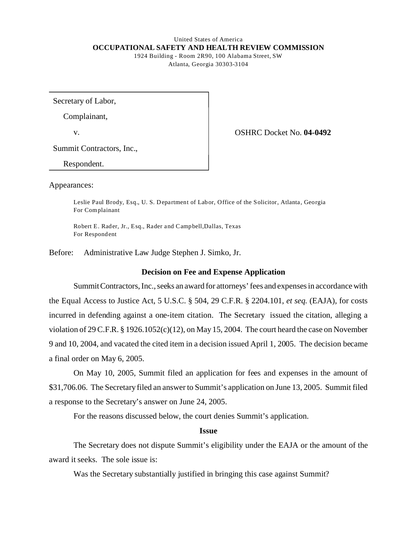## United States of America **OCCUPATIONAL SAFETY AND HEALTH REVIEW COMMISSION**  1924 Building - Room 2R90, 100 Alabama Street, SW

Atlanta, Georgia 30303-3104

Secretary of Labor,

Complainant,

v. OSHRC Docket No. **04-0492** 

Summit Contractors, Inc.,

Respondent.

Appearances:

Leslie Paul Brody, Esq., U. S. Department of Labor, Office of the Solicitor, Atlanta, Georgia For Complainant

Robert E. Rader, Jr., Esq., Rader and Campbell, Dallas, Texas For Respondent

Before: Administrative Law Judge Stephen J. Simko, Jr.

# **Decision on Fee and Expense Application**

Summit Contractors, Inc., seeks an award for attorneys' fees and expenses in accordance with the Equal Access to Justice Act, 5 U.S.C. § 504, 29 C.F.R. § 2204.101, *et seq.* (EAJA), for costs incurred in defending against a one-item citation. The Secretary issued the citation, alleging a violation of 29 C.F.R. § 1926.1052(c)(12), on May 15, 2004. The court heard the case on November 9 and 10, 2004, and vacated the cited item in a decision issued April 1, 2005. The decision became a final order on May 6, 2005.

On May 10, 2005, Summit filed an application for fees and expenses in the amount of \$31,706.06. The Secretary filed an answer to Summit's application on June 13, 2005. Summit filed a response to the Secretary's answer on June 24, 2005.

For the reasons discussed below, the court denies Summit's application.

# **Issue**

The Secretary does not dispute Summit's eligibility under the EAJA or the amount of the award it seeks. The sole issue is:

Was the Secretary substantially justified in bringing this case against Summit?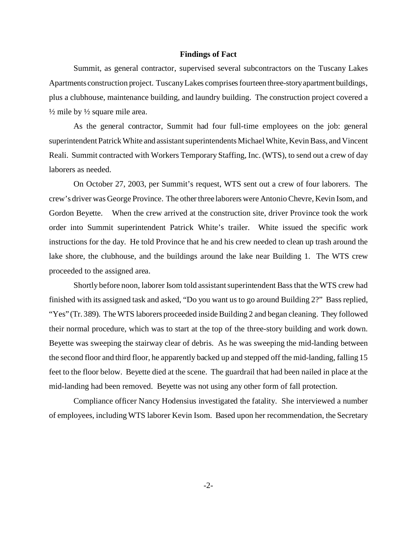## **Findings of Fact**

Summit, as general contractor, supervised several subcontractors on the Tuscany Lakes Apartments construction project. Tuscany Lakes comprises fourteen three-story apartment buildings, plus a clubhouse, maintenance building, and laundry building. The construction project covered a  $\frac{1}{2}$  mile by  $\frac{1}{2}$  square mile area.

As the general contractor, Summit had four full-time employees on the job: general superintendent Patrick White and assistant superintendents Michael White, Kevin Bass, and Vincent Reali. Summit contracted with Workers Temporary Staffing, Inc. (WTS), to send out a crew of day laborers as needed.

On October 27, 2003, per Summit's request, WTS sent out a crew of four laborers. The crew's driver was George Province. The other three laborers were Antonio Chevre, Kevin Isom, and Gordon Beyette. When the crew arrived at the construction site, driver Province took the work order into Summit superintendent Patrick White's trailer. White issued the specific work instructions for the day. He told Province that he and his crew needed to clean up trash around the lake shore, the clubhouse, and the buildings around the lake near Building 1. The WTS crew proceeded to the assigned area.

Shortly before noon, laborer Isom told assistant superintendent Bass that the WTS crew had finished with its assigned task and asked, "Do you want us to go around Building 2?" Bass replied, "Yes" (Tr. 389). The WTS laborers proceeded inside Building 2 and began cleaning. They followed their normal procedure, which was to start at the top of the three-story building and work down. Beyette was sweeping the stairway clear of debris. As he was sweeping the mid-landing between the second floor and third floor, he apparently backed up and stepped off the mid-landing, falling 15 feet to the floor below. Beyette died at the scene. The guardrail that had been nailed in place at the mid-landing had been removed. Beyette was not using any other form of fall protection.

Compliance officer Nancy Hodensius investigated the fatality. She interviewed a number of employees, including WTS laborer Kevin Isom. Based upon her recommendation, the Secretary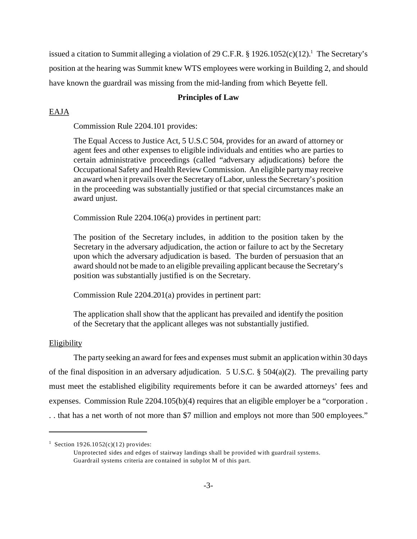issued a citation to Summit alleging a violation of 29 C.F.R.  $\S 1926.1052(c)(12).$ <sup>1</sup> The Secretary's position at the hearing was Summit knew WTS employees were working in Building 2, and should have known the guardrail was missing from the mid-landing from which Beyette fell.

# **Principles of Law**

## EAJA

Commission Rule 2204.101 provides:

The Equal Access to Justice Act, 5 U.S.C 504, provides for an award of attorney or agent fees and other expenses to eligible individuals and entities who are parties to certain administrative proceedings (called "adversary adjudications) before the Occupational Safety and Health Review Commission. An eligible party may receive an award when it prevails over the Secretary of Labor, unless the Secretary's position in the proceeding was substantially justified or that special circumstances make an award unjust.

Commission Rule 2204.106(a) provides in pertinent part:

The position of the Secretary includes, in addition to the position taken by the Secretary in the adversary adjudication, the action or failure to act by the Secretary upon which the adversary adjudication is based. The burden of persuasion that an award should not be made to an eligible prevailing applicant because the Secretary's position was substantially justified is on the Secretary.

Commission Rule 2204.201(a) provides in pertinent part:

The application shall show that the applicant has prevailed and identify the position of the Secretary that the applicant alleges was not substantially justified.

#### **Eligibility**

The party seeking an award for fees and expenses must submit an application within 30 days of the final disposition in an adversary adjudication. 5 U.S.C. § 504(a)(2). The prevailing party must meet the established eligibility requirements before it can be awarded attorneys' fees and expenses. Commission Rule 2204.105(b)(4) requires that an eligible employer be a "corporation . . . that has a net worth of not more than \$7 million and employs not more than 500 employees."

<sup>&</sup>lt;sup>1</sup> Section 1926.1052(c)(12) provides:

Un protected sides and edges of stairway landings shall be provided with guardrail systems. Guardrail systems criteria are contained in subplot M of this part.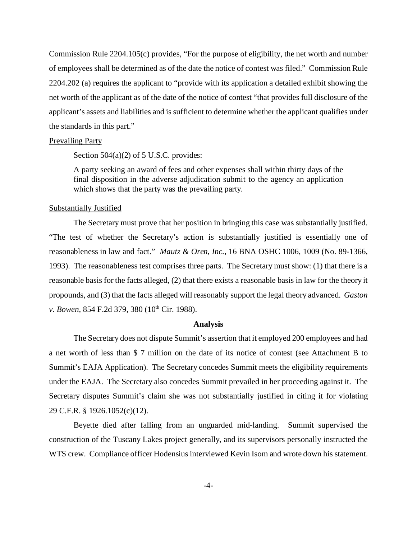Commission Rule 2204.105(c) provides, "For the purpose of eligibility, the net worth and number of employees shall be determined as of the date the notice of contest was filed." Commission Rule 2204.202 (a) requires the applicant to "provide with its application a detailed exhibit showing the net worth of the applicant as of the date of the notice of contest "that provides full disclosure of the applicant's assets and liabilities and is sufficient to determine whether the applicant qualifies under the standards in this part."

## Prevailing Party

Section 504(a)(2) of 5 U.S.C. provides:

A party seeking an award of fees and other expenses shall within thirty days of the final disposition in the adverse adjudication submit to the agency an application which shows that the party was the prevailing party.

## Substantially Justified

The Secretary must prove that her position in bringing this case was substantially justified. "The test of whether the Secretary's action is substantially justified is essentially one of reasonableness in law and fact." *Mautz & Oren, Inc.,* 16 BNA OSHC 1006, 1009 (No. 89-1366, 1993). The reasonableness test comprises three parts. The Secretary must show: (1) that there is a reasonable basis for the facts alleged, (2) that there exists a reasonable basis in law for the theory it propounds, and (3) that the facts alleged will reasonably support the legal theory advanced. *Gaston v. Bowen, 854 F.2d 379, 380 (10<sup>th</sup> Cir. 1988).* 

## **Analysis**

The Secretary does not dispute Summit's assertion that it employed 200 employees and had a net worth of less than \$ 7 million on the date of its notice of contest (see Attachment B to Summit's EAJA Application). The Secretary concedes Summit meets the eligibility requirements under the EAJA. The Secretary also concedes Summit prevailed in her proceeding against it. The Secretary disputes Summit's claim she was not substantially justified in citing it for violating 29 C.F.R. § 1926.1052(c)(12).

Beyette died after falling from an unguarded mid-landing. Summit supervised the construction of the Tuscany Lakes project generally, and its supervisors personally instructed the WTS crew. Compliance officer Hodensius interviewed Kevin Isom and wrote down his statement.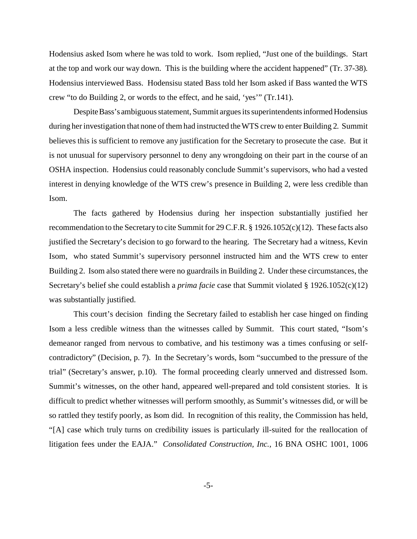Hodensius asked Isom where he was told to work. Isom replied, "Just one of the buildings. Start at the top and work our way down. This is the building where the accident happened" (Tr. 37-38). Hodensius interviewed Bass. Hodensisu stated Bass told her Isom asked if Bass wanted the WTS crew "to do Building 2, or words to the effect, and he said, 'yes'" (Tr.141).

Despite Bass's ambiguous statement, Summit argues its superintendents informed Hodensius during her investigation that none of them had instructed the WTS crew to enter Building 2. Summit believes this is sufficient to remove any justification for the Secretary to prosecute the case. But it is not unusual for supervisory personnel to deny any wrongdoing on their part in the course of an OSHA inspection. Hodensius could reasonably conclude Summit's supervisors, who had a vested interest in denying knowledge of the WTS crew's presence in Building 2, were less credible than Isom.

The facts gathered by Hodensius during her inspection substantially justified her recommendation to the Secretary to cite Summit for 29 C.F.R. § 1926.1052(c)(12). These facts also justified the Secretary's decision to go forward to the hearing. The Secretary had a witness, Kevin Isom, who stated Summit's supervisory personnel instructed him and the WTS crew to enter Building 2. Isom also stated there were no guardrails in Building 2. Under these circumstances, the Secretary's belief she could establish a *prima facie* case that Summit violated § 1926.1052(c)(12) was substantially justified.

This court's decision finding the Secretary failed to establish her case hinged on finding Isom a less credible witness than the witnesses called by Summit. This court stated, "Isom's demeanor ranged from nervous to combative, and his testimony was a times confusing or selfcontradictory" (Decision, p. 7). In the Secretary's words, Isom "succumbed to the pressure of the trial" (Secretary's answer, p.10). The formal proceeding clearly unnerved and distressed Isom. Summit's witnesses, on the other hand, appeared well-prepared and told consistent stories. It is difficult to predict whether witnesses will perform smoothly, as Summit's witnesses did, or will be so rattled they testify poorly, as Isom did. In recognition of this reality, the Commission has held, "[A] case which truly turns on credibility issues is particularly ill-suited for the reallocation of litigation fees under the EAJA." *Consolidated Construction, Inc.,* 16 BNA OSHC 1001, 1006